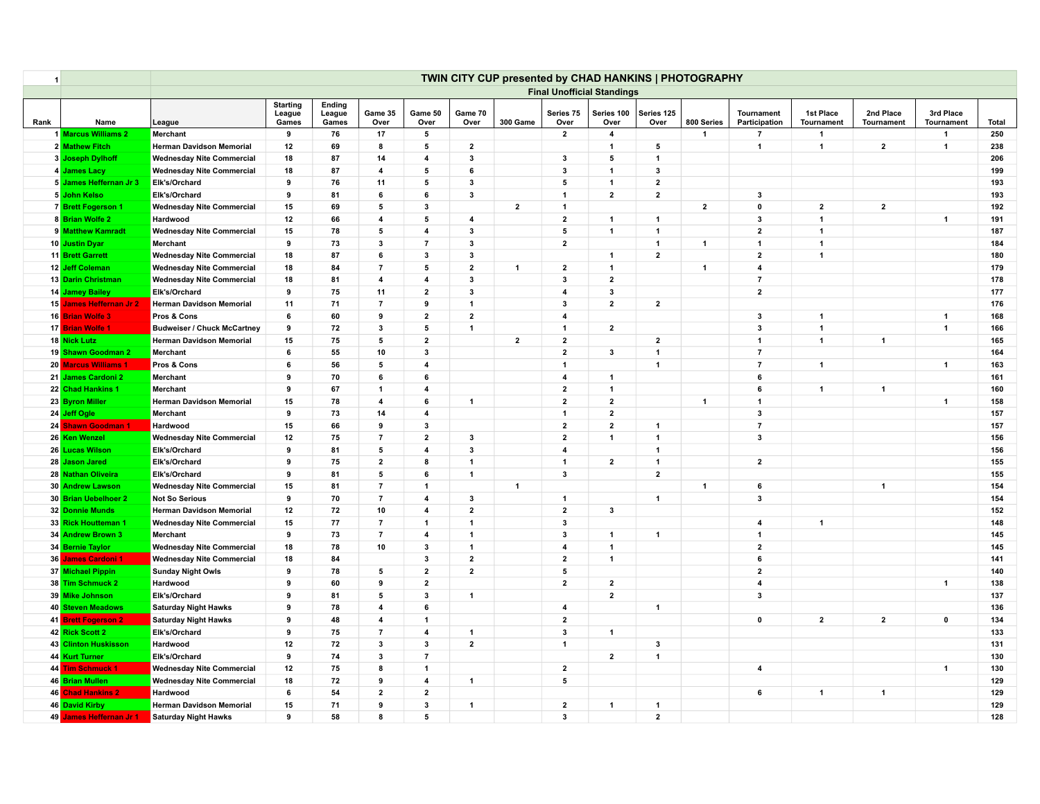| $\overline{\mathbf{1}}$ |                         |                                    |                                    |                           |                 |                         |                         |              |                         |                                   | TWIN CITY CUP presented by CHAD HANKINS   PHOTOGRAPHY |                |                                    |                                |                                |                         |       |
|-------------------------|-------------------------|------------------------------------|------------------------------------|---------------------------|-----------------|-------------------------|-------------------------|--------------|-------------------------|-----------------------------------|-------------------------------------------------------|----------------|------------------------------------|--------------------------------|--------------------------------|-------------------------|-------|
|                         |                         |                                    |                                    |                           |                 |                         |                         |              |                         | <b>Final Unofficial Standings</b> |                                                       |                |                                    |                                |                                |                         |       |
| Rank                    | Name                    | League                             | <b>Starting</b><br>League<br>Games | Ending<br>League<br>Games | Game 35<br>Over | Game 50<br>Over         | Game 70<br>Over         | 300 Game     | Series 75<br>Over       | Series 100<br>Over                | Series 125<br>Over                                    | 800 Series     | <b>Tournament</b><br>Participation | 1st Place<br><b>Tournament</b> | 2nd Place<br><b>Tournament</b> | 3rd Place<br>Tournament | Total |
|                         | 1 Marcus Williams 2     | Merchant                           | 9                                  | 76                        | 17              | 5                       |                         |              | $\mathbf{2}$            | $\overline{\mathbf{4}}$           |                                                       | $\mathbf{1}$   | $\overline{7}$                     | $\overline{1}$                 |                                | $\overline{\mathbf{1}}$ | 250   |
|                         | 2 Mathew Fitch          | <b>Herman Davidson Memorial</b>    | 12                                 | 69                        | 8               | 5                       | $\overline{2}$          |              |                         | $\mathbf{1}$                      | 5                                                     |                | $\overline{1}$                     | $\mathbf{1}$                   | $\mathbf{2}$                   | $\overline{1}$          | 238   |
|                         | 3 Joseph Dylhoff        | <b>Wednesday Nite Commercial</b>   | 18                                 | 87                        | 14              | $\overline{\mathbf{4}}$ | 3                       |              | 3                       | 5                                 | $\mathbf{1}$                                          |                |                                    |                                |                                |                         | 206   |
|                         | 4 James Lacy            | <b>Wednesday Nite Commercial</b>   | 18                                 | 87                        | $\overline{4}$  | 5                       | 6                       |              | 3                       | $\mathbf{1}$                      | 3                                                     |                |                                    |                                |                                |                         | 199   |
|                         | 5 James Heffernan Jr 3  | Elk's/Orchard                      | 9                                  | 76                        | 11              | 5                       | 3                       |              | 5                       | $\mathbf{1}$                      | $\overline{2}$                                        |                |                                    |                                |                                |                         | 193   |
|                         | 5 John Kelso            | Elk's/Orchard                      | 9                                  | 81                        | 6               | 6                       | $\mathbf{3}$            |              | $\mathbf{1}$            | $\mathbf 2$                       | $\mathbf{2}$                                          |                | $\mathbf{3}$                       |                                |                                |                         | 193   |
|                         | 7 Brett Fogerson 1      | <b>Wednesday Nite Commercial</b>   | 15                                 | 69                        | 5               | $\overline{\mathbf{3}}$ |                         | $\mathbf{2}$ | $\blacktriangleleft$    |                                   |                                                       | $\mathbf{2}$   | $\mathbf 0$                        | $\mathbf{2}$                   | $\mathbf{2}$                   |                         | 192   |
|                         | 8 Brian Wolfe 2         | Hardwood                           | 12                                 | 66                        | 4               | 5                       | $\overline{\mathbf{4}}$ |              | $\overline{\mathbf{2}}$ | $\overline{1}$                    | $\mathbf{1}$                                          |                | $\mathbf{3}$                       | $\mathbf{1}$                   |                                | $\overline{\mathbf{1}}$ | 191   |
|                         | 9 Matthew Kamradt       | <b>Wednesday Nite Commercial</b>   | 15                                 | 78                        | 5               | $\overline{4}$          | 3                       |              | 5                       | $\overline{1}$                    | $\mathbf{1}$                                          |                | $\overline{2}$                     | $\mathbf{1}$                   |                                |                         | 187   |
|                         | 10 Justin Dyar          | Merchant                           | 9                                  | 73                        | $\mathbf{3}$    | $\overline{7}$          | 3                       |              | $\mathbf{2}$            |                                   | $\mathbf{1}$                                          | $\mathbf{1}$   | $\mathbf{1}$                       | $\overline{1}$                 |                                |                         | 184   |
|                         | 11 Brett Garrett        | <b>Wednesday Nite Commercial</b>   | 18                                 | 87                        | 6               | 3                       | 3                       |              |                         | $\mathbf{1}$                      | $\overline{2}$                                        |                | $\mathbf{2}$                       | $\mathbf{1}$                   |                                |                         | 180   |
|                         | 12 Jeff Coleman         | <b>Wednesday Nite Commercial</b>   | 18                                 | 84                        | $\overline{7}$  | 5                       | $\mathbf{2}$            | $\mathbf{1}$ | $\mathbf{2}$            | $\mathbf{1}$                      |                                                       | $\mathbf{1}$   | $\overline{\mathbf{4}}$            |                                |                                |                         | 179   |
|                         | 13 Darin Christman      | <b>Wednesday Nite Commercial</b>   | 18                                 | 81                        | $\overline{4}$  | $\overline{4}$          | 3                       |              | 3                       | $\mathbf{2}$                      |                                                       |                | $\overline{7}$                     |                                |                                |                         | 178   |
|                         | 14 Jamey Bailey         | Elk's/Orchard                      | 9                                  | 75                        | 11              | $\overline{2}$          | 3                       |              | $\overline{4}$          | $\mathbf{3}$                      |                                                       |                | $\mathbf{2}$                       |                                |                                |                         | 177   |
|                         | 15 James Heffernan Jr 2 | <b>Herman Davidson Memorial</b>    | 11                                 | 71                        | $\overline{7}$  | 9                       | $\mathbf{1}$            |              | 3                       | $\mathbf{2}$                      | $\overline{2}$                                        |                |                                    |                                |                                |                         | 176   |
|                         | 16 Brian Wolfe 3        | Pros & Cons                        | 6                                  | 60                        | 9               | $\overline{2}$          | $\mathbf{2}$            |              | $\overline{4}$          |                                   |                                                       |                | 3                                  | $\mathbf{1}$                   |                                | $\overline{1}$          | 168   |
|                         | 17 Brian Wolfe 1        | <b>Budweiser / Chuck McCartney</b> | 9                                  | 72                        | $\mathbf{3}$    | 5                       | $\mathbf{1}$            |              | $\mathbf{1}$            | $\mathbf{2}$                      |                                                       |                | $\mathbf{3}$                       | $\mathbf{1}$                   |                                | $\overline{\mathbf{1}}$ | 166   |
|                         | 18 Nick Lutz            | <b>Herman Davidson Memorial</b>    | 15                                 | 75                        | 5               | $\overline{2}$          |                         | $\mathbf{2}$ | $\mathbf{2}$            |                                   | $\overline{2}$                                        |                | $\mathbf{1}$                       | $\mathbf{1}$                   | $\overline{1}$                 |                         | 165   |
|                         | 19 Shawn Goodman 2      | Merchant                           | 6                                  | 55                        | 10              | $\mathbf{3}$            |                         |              | $\overline{\mathbf{2}}$ | $\mathbf{3}$                      | $\mathbf{1}$                                          |                | $\overline{7}$                     |                                |                                |                         | 164   |
|                         | 20 Marcus Williams 1    | Pros & Cons                        | 6                                  | 56                        | 5               | $\overline{4}$          |                         |              | $\blacktriangleleft$    |                                   | $\mathbf{1}$                                          |                | $\overline{7}$                     | $\mathbf{1}$                   |                                | $\overline{1}$          | 163   |
|                         | 21 James Cardoni 2      | Merchant                           | 9                                  | 70                        | 6               | 6                       |                         |              | $\overline{\mathbf{4}}$ | $\mathbf{1}$                      |                                                       |                | $\bf{6}$                           |                                |                                |                         | 161   |
|                         | 22 Chad Hankins 1       | Merchant                           | 9                                  | 67                        | $\mathbf{1}$    | $\overline{4}$          |                         |              | $\overline{2}$          | $\overline{1}$                    |                                                       |                | 6                                  | $\mathbf{1}$                   | $\mathbf{1}$                   |                         | 160   |
|                         | 23 Byron Miller         | <b>Herman Davidson Memorial</b>    | 15                                 | 78                        | $\overline{4}$  | 6                       | $\mathbf{1}$            |              | $\overline{2}$          | $\mathbf{2}$                      |                                                       | $\overline{1}$ | $\overline{1}$                     |                                |                                | $\overline{1}$          | 158   |
|                         | 24 Jeff Ogle            | Merchant                           | 9                                  | 73                        | 14              | $\overline{\mathbf{4}}$ |                         |              | $\mathbf{1}$            | $\bf{2}$                          |                                                       |                | $\mathbf{3}$                       |                                |                                |                         | 157   |
|                         | 24 Shawn Goodman 1      | Hardwood                           | 15                                 | 66                        | 9               | $\mathbf{3}$            |                         |              | $\overline{2}$          | $\overline{2}$                    | $\mathbf{1}$                                          |                | $\overline{7}$                     |                                |                                |                         | 157   |
|                         | 26 Ken Wenzel           | <b>Wednesday Nite Commercial</b>   | 12                                 | 75                        | $\overline{7}$  | $\overline{2}$          | $\mathbf{3}$            |              | $\mathbf{2}$            | $\mathbf{1}$                      | $\mathbf{1}$                                          |                | $\mathbf{3}$                       |                                |                                |                         | 156   |
|                         | 26 Lucas Wilson         | Elk's/Orchard                      | 9                                  | 81                        | 5               | $\overline{4}$          | 3                       |              | $\overline{4}$          |                                   | $\overline{1}$                                        |                |                                    |                                |                                |                         | 156   |
|                         | 28 Jason Jared          | Elk's/Orchard                      | 9                                  | 75                        | $\overline{2}$  | 8                       | $\overline{1}$          |              | $\mathbf{1}$            | $\bf{2}$                          | $\mathbf{1}$                                          |                | $\overline{\mathbf{2}}$            |                                |                                |                         | 155   |
|                         | 28 Nathan Oliveira      | Elk's/Orchard                      | 9                                  | 81                        | 5               | 6                       | $\mathbf{1}$            |              | $\mathbf{3}$            |                                   | $\overline{2}$                                        |                |                                    |                                |                                |                         | 155   |
|                         | 30 Andrew Lawson        | <b>Wednesday Nite Commercial</b>   | 15                                 | 81                        | $\overline{7}$  | $\mathbf{1}$            |                         | $\mathbf{1}$ |                         |                                   |                                                       | $\mathbf{1}$   | $\bf{6}$                           |                                | $\overline{1}$                 |                         | 154   |
|                         | 30 Brian Uebelhoer 2    | <b>Not So Serious</b>              | 9                                  | 70                        | $\overline{7}$  | $\overline{4}$          | 3                       |              | $\mathbf{1}$            |                                   | $\overline{1}$                                        |                | 3                                  |                                |                                |                         | 154   |
|                         | 32 Donnie Munds         | <b>Herman Davidson Memorial</b>    | 12                                 | 72                        | 10              | $\overline{4}$          | $\overline{2}$          |              | $\mathbf{2}$            | $\mathbf{3}$                      |                                                       |                |                                    |                                |                                |                         | 152   |
|                         | 33 Rick Houtteman 1     | <b>Wednesday Nite Commercial</b>   | 15                                 | ${\bf 77}$                | $\overline{7}$  | $\overline{\mathbf{1}}$ | $\mathbf{1}$            |              | 3                       |                                   |                                                       |                | $\overline{\mathbf{4}}$            | $\mathbf{1}$                   |                                |                         | 148   |
|                         | 34 Andrew Brown 3       | Merchant                           | 9                                  | 73                        | $\overline{7}$  | $\overline{\mathbf{4}}$ | $\mathbf{1}$            |              | 3                       | $\mathbf{1}$                      | $\mathbf{1}$                                          |                | $\mathbf{1}$                       |                                |                                |                         | 145   |
|                         | 34 Bernie Taylor        | <b>Wednesday Nite Commercial</b>   | 18                                 | 78                        | 10              | $\mathbf{3}$            | $\mathbf{1}$            |              | $\overline{\mathbf{4}}$ | $\mathbf{1}$                      |                                                       |                | $\overline{\mathbf{2}}$            |                                |                                |                         | 145   |
|                         | 36 James Cardoni 1      | <b>Wednesday Nite Commercial</b>   | 18                                 | 84                        |                 | $\overline{\mathbf{3}}$ | $\overline{2}$          |              | $\overline{2}$          | $\overline{1}$                    |                                                       |                | 6                                  |                                |                                |                         | 141   |
|                         | 37 Michael Pippin       | <b>Sunday Night Owls</b>           | 9                                  | 78                        | 5               | $\mathbf{2}$            | $\mathbf{2}$            |              | 5                       |                                   |                                                       |                | $\overline{\mathbf{2}}$            |                                |                                |                         | 140   |
|                         | 38 Tim Schmuck 2        | Hardwood                           | 9                                  | 60                        | 9               | $\overline{2}$          |                         |              | $\overline{2}$          | $\overline{2}$                    |                                                       |                | $\overline{\mathbf{4}}$            |                                |                                | $\overline{1}$          | 138   |
|                         | 39 Mike Johnson         | Elk's/Orchard                      | 9                                  | 81                        | 5               | $\mathbf{3}$            | $\mathbf{1}$            |              |                         | $\mathbf{2}$                      |                                                       |                | $\mathbf{3}$                       |                                |                                |                         | 137   |
|                         | 40 Steven Meadows       | <b>Saturday Night Hawks</b>        | 9                                  | 78                        | $\overline{4}$  | 6                       |                         |              | $\boldsymbol{4}$        |                                   | $\mathbf{1}$                                          |                |                                    |                                |                                |                         | 136   |
|                         | 41 Brett Fogerson 2     | <b>Saturday Night Hawks</b>        | 9                                  | 48                        | $\overline{4}$  | $\mathbf{1}$            |                         |              | $\overline{2}$          |                                   |                                                       |                | $\mathbf{0}$                       | $\overline{2}$                 | $\overline{2}$                 | $\mathbf 0$             | 134   |
|                         | 42 Rick Scott 2         | Elk's/Orchard                      | 9                                  | 75                        | $\overline{7}$  | $\overline{\mathbf{4}}$ | $\mathbf{1}$            |              | $\mathbf{3}$            | $\overline{1}$                    |                                                       |                |                                    |                                |                                |                         | 133   |
|                         | 43 Clinton Huskisson    | Hardwood                           | 12                                 | 72                        | 3               | 3                       | $\overline{2}$          |              | $\mathbf{1}$            |                                   | 3                                                     |                |                                    |                                |                                |                         | 131   |
|                         | 44 Kurt Turner          | Elk's/Orchard                      | 9                                  | 74                        | $\mathbf{3}$    | $\overline{7}$          |                         |              |                         | $\mathbf{2}$                      | $\mathbf{1}$                                          |                |                                    |                                |                                |                         | 130   |
|                         | 44 Tim Schmuck 1        | <b>Wednesday Nite Commercial</b>   | 12                                 | 75                        | 8               | $\overline{1}$          |                         |              | $\overline{2}$          |                                   |                                                       |                | $\overline{\mathbf{4}}$            |                                |                                | $\overline{1}$          | 130   |
|                         | 46 Brian Mullen         | <b>Wednesday Nite Commercial</b>   | 18                                 | 72                        | 9               | $\overline{\mathbf{4}}$ | $\overline{1}$          |              | 5                       |                                   |                                                       |                |                                    |                                |                                |                         | 129   |
|                         | 46 Chad Hankins 2       | Hardwood                           | 6                                  | 54                        | $\overline{2}$  | $\mathbf{2}$            |                         |              |                         |                                   |                                                       |                | 6                                  | 1                              | $\mathbf{1}$                   |                         | 129   |
|                         | 46 David Kirby          | <b>Herman Davidson Memorial</b>    | 15                                 | 71                        | 9               | $\mathbf{3}$            | $\mathbf{1}$            |              | $\mathbf{2}$            | $\mathbf{1}$                      | $\mathbf{1}$                                          |                |                                    |                                |                                |                         | 129   |
|                         | 49 James Heffernan Jr 1 | <b>Saturday Night Hawks</b>        | 9                                  | 58                        | 8               | 5                       |                         |              | 3                       |                                   | $\overline{2}$                                        |                |                                    |                                |                                |                         | 128   |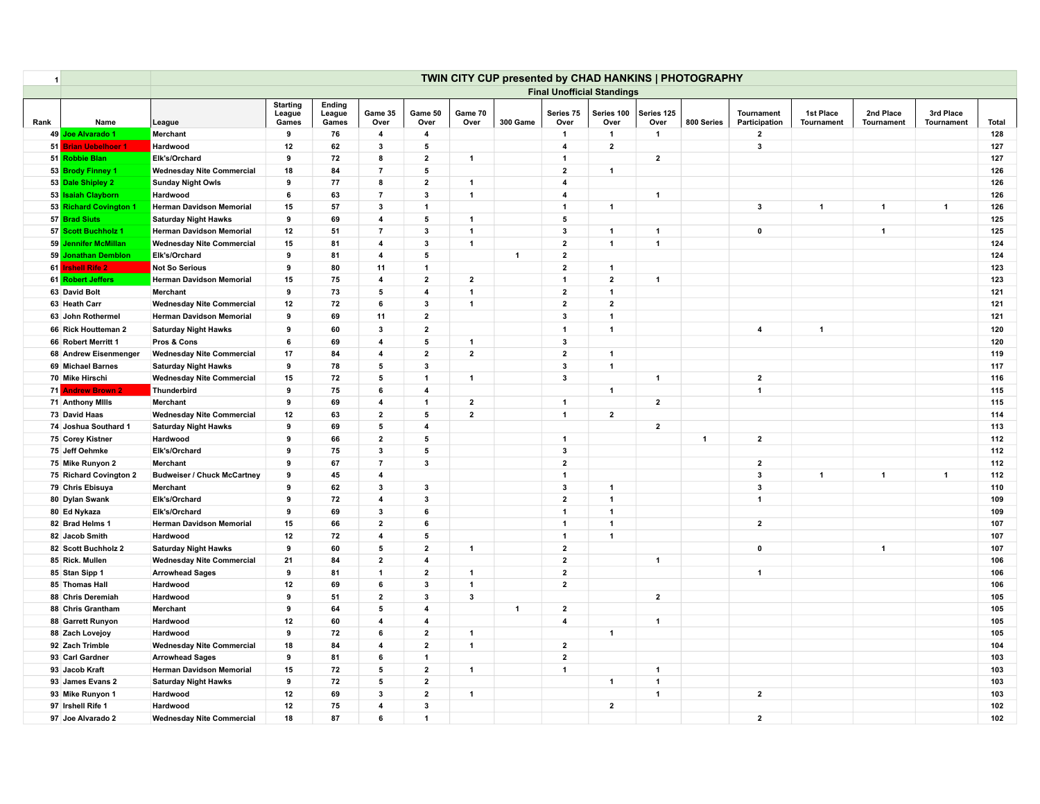| $\overline{\mathbf{1}}$ |                         |                                    |                                    |                           |                         |                         |                         | TWIN CITY CUP presented by CHAD HANKINS   PHOTOGRAPHY |                         |                                   |                      |                |                                    |                                |                         |                         |       |
|-------------------------|-------------------------|------------------------------------|------------------------------------|---------------------------|-------------------------|-------------------------|-------------------------|-------------------------------------------------------|-------------------------|-----------------------------------|----------------------|----------------|------------------------------------|--------------------------------|-------------------------|-------------------------|-------|
|                         |                         |                                    |                                    |                           |                         |                         |                         |                                                       |                         | <b>Final Unofficial Standings</b> |                      |                |                                    |                                |                         |                         |       |
| Rank                    | Name                    | League                             | <b>Starting</b><br>League<br>Games | Ending<br>League<br>Games | Game 35<br>Over         | Game 50<br>Over         | Game 70<br>Over         | 300 Game                                              | Series 75<br>Over       | Series 100<br>Over                | Series 125<br>Over   | 800 Series     | <b>Tournament</b><br>Participation | 1st Place<br><b>Tournament</b> | 2nd Place<br>Tournament | 3rd Place<br>Tournament | Total |
|                         | 49 Joe Alvarado 1       | Merchant                           | 9                                  | 76                        | $\overline{\mathbf{4}}$ | $\overline{4}$          |                         |                                                       | $\mathbf{1}$            | $\overline{1}$                    | $\blacktriangleleft$ |                | $\mathbf{2}$                       |                                |                         |                         | 128   |
|                         | 51 Brian Uebelhoer 1    | Hardwood                           | 12                                 | 62                        | $\mathbf{3}$            | 5                       |                         |                                                       | $\overline{4}$          | $\overline{2}$                    |                      |                | $\mathbf{3}$                       |                                |                         |                         | 127   |
|                         | 51 Robbie Blan          | Elk's/Orchard                      | 9                                  | 72                        | 8                       | $\overline{2}$          | $\mathbf{1}$            |                                                       | $\mathbf{1}$            |                                   | $\overline{2}$       |                |                                    |                                |                         |                         | 127   |
|                         | 53 Brody Finney 1       | <b>Wednesday Nite Commercial</b>   | 18                                 | 84                        | $\overline{7}$          | 5                       |                         |                                                       | $\overline{2}$          | $\mathbf{1}$                      |                      |                |                                    |                                |                         |                         | 126   |
|                         | 53 Dale Shipley 2       | <b>Sunday Night Owls</b>           | 9                                  | 77                        | 8                       | $\mathbf{2}$            | $\overline{1}$          |                                                       | $\overline{4}$          |                                   |                      |                |                                    |                                |                         |                         | 126   |
|                         | 53 Isaiah Clayborn      | Hardwood                           | 6                                  | 63                        | $\overline{7}$          | $\mathbf{3}$            | $\mathbf{1}$            |                                                       | $\overline{\mathbf{4}}$ |                                   | $\mathbf{1}$         |                |                                    |                                |                         |                         | 126   |
|                         | 53 Richard Covington 1  | <b>Herman Davidson Memorial</b>    | 15                                 | 57                        | 3                       | $\overline{\mathbf{1}}$ |                         |                                                       | $\mathbf{1}$            | $\mathbf{1}$                      |                      |                | $\overline{\mathbf{3}}$            | $\mathbf{1}$                   | $\overline{1}$          | $\overline{1}$          | 126   |
|                         | 57 Brad Siuts           | <b>Saturday Night Hawks</b>        | 9                                  | 69                        | $\overline{\mathbf{4}}$ | 5                       | $\mathbf{1}$            |                                                       | 5                       |                                   |                      |                |                                    |                                |                         |                         | 125   |
|                         | 57 Scott Buchholz 1     | <b>Herman Davidson Memorial</b>    | 12                                 | 51                        | $\overline{7}$          | $\overline{\mathbf{3}}$ | $\mathbf{1}$            |                                                       | 3                       | $\overline{1}$                    | $\mathbf{1}$         |                | $\mathbf 0$                        |                                | $\mathbf{1}$            |                         | 125   |
|                         | 59 Jennifer McMillan    | <b>Wednesday Nite Commercial</b>   | 15                                 | 81                        | 4                       | $\mathbf{3}$            | $\mathbf{1}$            |                                                       | $\overline{2}$          | $\mathbf{1}$                      | $\overline{1}$       |                |                                    |                                |                         |                         | 124   |
|                         | 59 Jonathan Demblon     | Elk's/Orchard                      | 9                                  | 81                        | $\overline{\mathbf{4}}$ | 5                       |                         | $\mathbf{1}$                                          | $\overline{2}$          |                                   |                      |                |                                    |                                |                         |                         | 124   |
|                         | 61 Irshell Rife 2       | <b>Not So Serious</b>              | 9                                  | 80                        | 11                      | $\mathbf{1}$            |                         |                                                       | $\mathbf{2}$            | $\mathbf{1}$                      |                      |                |                                    |                                |                         |                         | 123   |
|                         | 61 Robert Jeffers       | <b>Herman Davidson Memorial</b>    | 15                                 | 75                        | $\overline{\mathbf{4}}$ | $\overline{2}$          | $\overline{2}$          |                                                       | $\overline{1}$          | $\overline{2}$                    | $\mathbf{1}$         |                |                                    |                                |                         |                         | 123   |
|                         | 63 David Bolt           | Merchant                           | 9                                  | 73                        | 5                       | $\overline{4}$          | $\mathbf{1}$            |                                                       | $\overline{2}$          | $\overline{1}$                    |                      |                |                                    |                                |                         |                         | 121   |
|                         | 63 Heath Carr           | <b>Wednesday Nite Commercial</b>   | 12                                 | 72                        | 6                       | 3                       | $\overline{1}$          |                                                       | $\mathbf{2}$            | $\overline{2}$                    |                      |                |                                    |                                |                         |                         | 121   |
|                         | 63 John Rothermel       | <b>Herman Davidson Memorial</b>    | 9                                  | 69                        | 11                      | $\mathbf{2}$            |                         |                                                       | 3                       | $\overline{1}$                    |                      |                |                                    |                                |                         |                         | 121   |
|                         | 66 Rick Houtteman 2     | <b>Saturday Night Hawks</b>        | 9                                  | 60                        | $\mathbf{3}$            | $\overline{2}$          |                         |                                                       | $\mathbf{1}$            | $\mathbf{1}$                      |                      |                | $\overline{\mathbf{4}}$            | $\mathbf{1}$                   |                         |                         | 120   |
|                         | 66 Robert Merritt 1     | Pros & Cons                        | 6                                  | 69                        | $\overline{\mathbf{4}}$ | 5                       | $\mathbf{1}$            |                                                       | 3                       |                                   |                      |                |                                    |                                |                         |                         | 120   |
|                         | 68 Andrew Eisenmenger   | <b>Wednesday Nite Commercial</b>   | 17                                 | 84                        | 4                       | $\overline{2}$          | $\overline{2}$          |                                                       | $\mathbf{2}$            | $\overline{1}$                    |                      |                |                                    |                                |                         |                         | 119   |
|                         | 69 Michael Barnes       | <b>Saturday Night Hawks</b>        | 9                                  | 78                        | 5                       | 3                       |                         |                                                       | $\mathbf{3}$            | $\mathbf{1}$                      |                      |                |                                    |                                |                         |                         | 117   |
|                         | 70 Mike Hirschi         | <b>Wednesday Nite Commercial</b>   | 15                                 | 72                        | 5                       | $\mathbf{1}$            | $\mathbf{1}$            |                                                       | 3                       |                                   | $\mathbf{1}$         |                | $\overline{2}$                     |                                |                         |                         | 116   |
|                         | 71 Andrew Brown 2       | Thunderbird                        | 9                                  | 75                        | 6                       | $\overline{4}$          |                         |                                                       |                         | $\mathbf{1}$                      |                      |                | $\overline{1}$                     |                                |                         |                         | 115   |
|                         | <b>71 Anthony Mills</b> | Merchant                           | 9                                  | 69                        | 4                       | $\mathbf{1}$            | $\mathbf{2}$            |                                                       | $\mathbf{1}$            |                                   | $\overline{2}$       |                |                                    |                                |                         |                         | 115   |
|                         | 73 David Haas           | <b>Wednesday Nite Commercial</b>   | 12                                 | 63                        | $\overline{2}$          | 5                       | $\mathbf{2}$            |                                                       | $\mathbf{1}$            | $\overline{2}$                    |                      |                |                                    |                                |                         |                         | 114   |
|                         | 74 Joshua Southard 1    | <b>Saturday Night Hawks</b>        | 9                                  | 69                        | 5                       | $\overline{4}$          |                         |                                                       |                         |                                   | $\overline{2}$       |                |                                    |                                |                         |                         | 113   |
|                         | 75 Corey Kistner        | Hardwood                           | 9                                  | 66                        | $\mathbf{2}$            | 5                       |                         |                                                       | $\mathbf{1}$            |                                   |                      | $\overline{1}$ | $\overline{\mathbf{2}}$            |                                |                         |                         | 112   |
|                         | 75 Jeff Oehmke          | Elk's/Orchard                      | 9                                  | 75                        | $\overline{\mathbf{3}}$ | 5                       |                         |                                                       | 3                       |                                   |                      |                |                                    |                                |                         |                         | 112   |
|                         | 75 Mike Runyon 2        | Merchant                           | 9                                  | 67                        | $\overline{7}$          | 3                       |                         |                                                       | $\overline{2}$          |                                   |                      |                | $\overline{2}$                     |                                |                         |                         | 112   |
|                         | 75 Richard Covington 2  | <b>Budweiser / Chuck McCartney</b> | 9                                  | 45                        | $\overline{\mathbf{4}}$ |                         |                         |                                                       | $\mathbf{1}$            |                                   |                      |                | 3                                  | $\mathbf{1}$                   | $\overline{1}$          | $\overline{1}$          | 112   |
|                         | 79 Chris Ebisuya        | Merchant                           | 9                                  | 62                        | $\mathbf{3}$            | $\mathbf{3}$            |                         |                                                       | $\mathbf{3}$            | $\overline{1}$                    |                      |                | $\mathbf{3}$                       |                                |                         |                         | 110   |
|                         | 80 Dylan Swank          | Elk's/Orchard                      | 9                                  | 72                        | $\overline{\mathbf{4}}$ | 3                       |                         |                                                       | $\overline{2}$          | $\overline{1}$                    |                      |                | $\overline{1}$                     |                                |                         |                         | 109   |
|                         | 80 Ed Nykaza            | Elk's/Orchard                      | 9                                  | 69                        | 3                       | 6                       |                         |                                                       | $\mathbf{1}$            | $\overline{1}$                    |                      |                |                                    |                                |                         |                         | 109   |
|                         | 82 Brad Helms 1         | <b>Herman Davidson Memorial</b>    | 15                                 | 66                        | $\mathbf{2}$            | 6                       |                         |                                                       | $\overline{1}$          | $\overline{1}$                    |                      |                | $\overline{2}$                     |                                |                         |                         | 107   |
|                         | 82 Jacob Smith          | Hardwood                           | 12                                 | 72                        | 4                       | 5                       |                         |                                                       | $\overline{1}$          | $\mathbf{1}$                      |                      |                |                                    |                                |                         |                         | 107   |
|                         | 82 Scott Buchholz 2     | <b>Saturday Night Hawks</b>        | 9                                  | 60                        | 5                       | $\overline{2}$          | $\mathbf{1}$            |                                                       | $\overline{2}$          |                                   |                      |                | $\mathbf 0$                        |                                | $\mathbf{1}$            |                         | 107   |
|                         | 85 Rick. Mullen         | <b>Wednesday Nite Commercial</b>   | 21                                 | 84                        | $\overline{2}$          | 4                       |                         |                                                       | $\mathbf{2}$            |                                   | $\mathbf{1}$         |                |                                    |                                |                         |                         | 106   |
|                         | 85 Stan Sipp 1          | <b>Arrowhead Sages</b>             | 9                                  | 81                        | $\mathbf{1}$            | $\overline{\mathbf{2}}$ | $\mathbf{1}$            |                                                       | $\overline{\mathbf{2}}$ |                                   |                      |                | $\overline{1}$                     |                                |                         |                         | 106   |
|                         | 85 Thomas Hall          | Hardwood                           | 12                                 | 69                        | 6                       | $\mathbf{3}$            | $\overline{\mathbf{1}}$ |                                                       | $\mathbf{2}$            |                                   |                      |                |                                    |                                |                         |                         | 106   |
|                         | 88 Chris Deremiah       | Hardwood                           | 9                                  | 51                        | $\mathbf{2}$            | $\mathbf{3}$            | $\mathbf{3}$            |                                                       |                         |                                   | $\overline{2}$       |                |                                    |                                |                         |                         | 105   |
|                         | 88 Chris Grantham       | Merchant                           | 9                                  | 64                        | 5                       | $\overline{4}$          |                         | $\mathbf{1}$                                          | $\overline{2}$          |                                   |                      |                |                                    |                                |                         |                         | 105   |
|                         | 88 Garrett Runyon       | Hardwood                           | 12                                 | 60                        | $\overline{4}$          | $\overline{\mathbf{4}}$ |                         |                                                       | $\overline{\mathbf{4}}$ |                                   | $\mathbf{1}$         |                |                                    |                                |                         |                         | 105   |
|                         | 88 Zach Lovejoy         | Hardwood                           | 9                                  | 72                        | 6                       | $\mathbf{2}$            | $\overline{1}$          |                                                       |                         | $\blacktriangleleft$              |                      |                |                                    |                                |                         |                         | 105   |
|                         | 92 Zach Trimble         | <b>Wednesday Nite Commercial</b>   | 18                                 | 84                        | $\overline{\mathbf{4}}$ | $\mathbf{2}$            | $\mathbf{1}$            |                                                       | $\mathbf{2}$            |                                   |                      |                |                                    |                                |                         |                         | 104   |
|                         | 93 Carl Gardner         | <b>Arrowhead Sages</b>             | 9                                  | 81                        | 6                       | $\mathbf{1}$            |                         |                                                       | $\overline{2}$          |                                   |                      |                |                                    |                                |                         |                         | 103   |
|                         | 93 Jacob Kraft          | <b>Herman Davidson Memorial</b>    | 15                                 | 72                        | 5                       | $\overline{2}$          | $\mathbf{1}$            |                                                       | $\mathbf{1}$            |                                   | $\mathbf{1}$         |                |                                    |                                |                         |                         | 103   |
|                         | 93 James Evans 2        | <b>Saturday Night Hawks</b>        | 9                                  | 72                        | 5                       | $\mathbf{2}$            |                         |                                                       |                         | $\blacktriangleleft$              | $\overline{1}$       |                |                                    |                                |                         |                         | 103   |
|                         | 93 Mike Runyon 1        | Hardwood                           | 12                                 | 69                        | $\mathbf{3}$            | $\overline{2}$          | $\mathbf{1}$            |                                                       |                         |                                   | $\mathbf{1}$         |                | $\overline{\mathbf{2}}$            |                                |                         |                         | 103   |
|                         | 97 Irshell Rife 1       | Hardwood                           | 12                                 | 75                        | $\overline{4}$          | 3                       |                         |                                                       |                         | $\overline{2}$                    |                      |                |                                    |                                |                         |                         | 102   |
|                         | 97 Joe Alvarado 2       | <b>Wednesday Nite Commercial</b>   | 18                                 | 87                        | 6                       | $\overline{\mathbf{1}}$ |                         |                                                       |                         |                                   |                      |                | $\overline{2}$                     |                                |                         |                         | 102   |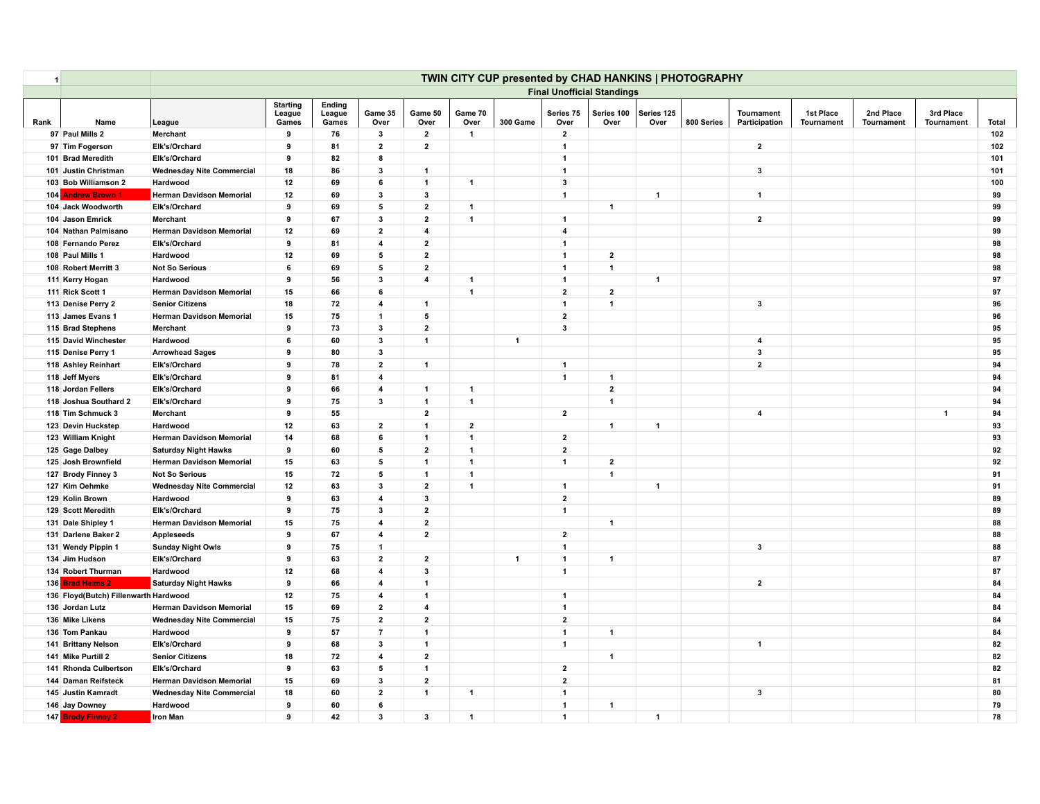| $\mathbf{1}$ |                                       |                                   |                                    |                           |                         |                         |                         | TWIN CITY CUP presented by CHAD HANKINS   PHOTOGRAPHY |                         |                      |                      |            |                                    |                         |                         |                         |              |
|--------------|---------------------------------------|-----------------------------------|------------------------------------|---------------------------|-------------------------|-------------------------|-------------------------|-------------------------------------------------------|-------------------------|----------------------|----------------------|------------|------------------------------------|-------------------------|-------------------------|-------------------------|--------------|
|              |                                       | <b>Final Unofficial Standings</b> |                                    |                           |                         |                         |                         |                                                       |                         |                      |                      |            |                                    |                         |                         |                         |              |
| Rank         | Name                                  | League                            | <b>Starting</b><br>League<br>Games | Ending<br>League<br>Games | Game 35<br>Over         | Game 50<br>Over         | Game 70<br>Over         | 300 Game                                              | Series 75<br>Over       | Series 100<br>Over   | Series 125<br>Over   | 800 Series | <b>Tournament</b><br>Participation | 1st Place<br>Tournament | 2nd Place<br>Tournament | 3rd Place<br>Tournament | <b>Total</b> |
|              | 97 Paul Mills 2                       | Merchant                          | 9                                  | 76                        | 3                       | $\overline{2}$          | $\overline{1}$          |                                                       | $\overline{2}$          |                      |                      |            |                                    |                         |                         |                         | 102          |
|              | 97 Tim Fogerson                       | Elk's/Orchard                     | 9                                  | 81                        | $\mathbf{2}$            | $\mathbf{2}$            |                         |                                                       | $\overline{1}$          |                      |                      |            | $\overline{\mathbf{2}}$            |                         |                         |                         | 102          |
|              | 101 Brad Meredith                     | Elk's/Orchard                     | 9                                  | 82                        | 8                       |                         |                         |                                                       | $\mathbf{1}$            |                      |                      |            |                                    |                         |                         |                         | 101          |
|              | 101 Justin Christman                  | <b>Wednesday Nite Commercial</b>  | 18                                 | 86                        | 3                       | $\mathbf{1}$            |                         |                                                       | $\mathbf{1}$            |                      |                      |            | $\mathbf{3}$                       |                         |                         |                         | 101          |
|              | 103 Bob Williamson 2                  | Hardwood                          | 12                                 | 69                        | 6                       | $\mathbf{1}$            | $\overline{1}$          |                                                       | 3                       |                      |                      |            |                                    |                         |                         |                         | 100          |
|              | 104 Andrew Brown 1                    | Herman Davidson Memorial          | 12                                 | 69                        | 3                       | $\mathbf{3}$            |                         |                                                       | $\mathbf{1}$            |                      | $\mathbf{1}$         |            | $\mathbf{1}$                       |                         |                         |                         | 99           |
|              | 104 Jack Woodworth                    | Elk's/Orchard                     | 9                                  | 69                        | 5                       | $\mathbf{2}$            | 1                       |                                                       |                         | $\mathbf{1}$         |                      |            |                                    |                         |                         |                         | 99           |
|              | 104 Jason Emrick                      | Merchant                          | 9                                  | 67                        | 3                       | $\overline{2}$          | $\overline{1}$          |                                                       | $\mathbf{1}$            |                      |                      |            | $\overline{2}$                     |                         |                         |                         | 99           |
|              | 104 Nathan Palmisano                  | <b>Herman Davidson Memorial</b>   | 12                                 | 69                        | $\overline{2}$          | 4                       |                         |                                                       | $\overline{\mathbf{4}}$ |                      |                      |            |                                    |                         |                         |                         | 99           |
|              | 108 Fernando Perez                    | Elk's/Orchard                     | 9                                  | 81                        | $\overline{4}$          | $\overline{2}$          |                         |                                                       | $\overline{1}$          |                      |                      |            |                                    |                         |                         |                         | 98           |
|              | 108 Paul Mills 1                      | Hardwood                          | 12                                 | 69                        | 5                       | $\overline{2}$          |                         |                                                       | $\mathbf{1}$            | $\mathbf{2}$         |                      |            |                                    |                         |                         |                         | 98           |
|              | 108 Robert Merritt 3                  | <b>Not So Serious</b>             | 6                                  | 69                        | 5                       | $\overline{2}$          |                         |                                                       | $\mathbf{1}$            | $\overline{1}$       |                      |            |                                    |                         |                         |                         | 98           |
|              | 111 Kerry Hogan                       | Hardwood                          | 9                                  | 56                        | $\mathbf{3}$            | $\overline{\mathbf{4}}$ | $\overline{\mathbf{1}}$ |                                                       | $\mathbf{1}$            |                      | $\blacktriangleleft$ |            |                                    |                         |                         |                         | 97           |
|              | 111 Rick Scott 1                      | <b>Herman Davidson Memorial</b>   | 15                                 | 66                        | 6                       |                         | $\overline{1}$          |                                                       | $\overline{2}$          | $\overline{2}$       |                      |            |                                    |                         |                         |                         | 97           |
|              | 113 Denise Perry 2                    | <b>Senior Citizens</b>            | 18                                 | 72                        | 4                       | $\mathbf{1}$            |                         |                                                       | $\mathbf 1$             | $\blacktriangleleft$ |                      |            | $\mathbf{3}$                       |                         |                         |                         | 96           |
|              | 113 James Evans 1                     | <b>Herman Davidson Memorial</b>   | 15                                 | 75                        | $\mathbf{1}$            | 5                       |                         |                                                       | $\overline{2}$          |                      |                      |            |                                    |                         |                         |                         | 96           |
|              | 115 Brad Stephens                     | Merchant                          | 9                                  | 73                        | $\mathbf{3}$            | $\overline{2}$          |                         |                                                       | $\mathbf{3}$            |                      |                      |            |                                    |                         |                         |                         | 95           |
|              | 115 David Winchester                  | Hardwood                          | 6                                  | 60                        | 3                       | $\mathbf{1}$            |                         | $\overline{1}$                                        |                         |                      |                      |            | $\overline{4}$                     |                         |                         |                         | 95           |
|              | 115 Denise Perry 1                    | <b>Arrowhead Sages</b>            | 9                                  | 80                        | 3                       |                         |                         |                                                       |                         |                      |                      |            | $\mathbf{3}$                       |                         |                         |                         | 95           |
|              | 118 Ashley Reinhart                   | Elk's/Orchard                     | 9                                  | 78                        | $\mathbf{2}$            | $\mathbf{1}$            |                         |                                                       | $\mathbf{1}$            |                      |                      |            | $\mathbf{2}$                       |                         |                         |                         | 94           |
|              | 118 Jeff Myers                        | Elk's/Orchard                     | 9                                  | 81                        | 4                       |                         |                         |                                                       | $\mathbf{1}$            | $\blacktriangleleft$ |                      |            |                                    |                         |                         |                         | 94           |
|              | 118 Jordan Fellers                    | Elk's/Orchard                     | 9                                  | 66                        | $\overline{4}$          | $\mathbf{1}$            | $\overline{1}$          |                                                       |                         | $\overline{2}$       |                      |            |                                    |                         |                         |                         | 94           |
|              | 118 Joshua Southard 2                 | Elk's/Orchard                     | 9                                  | 75                        | 3                       | $\mathbf{1}$            | $\overline{1}$          |                                                       |                         | $\blacktriangleleft$ |                      |            |                                    |                         |                         |                         | 94           |
|              | 118 Tim Schmuck 3                     | Merchant                          | 9                                  | 55                        |                         | $\overline{2}$          |                         |                                                       | $\mathbf{2}$            |                      |                      |            | $\overline{\mathbf{4}}$            |                         |                         | $\overline{\mathbf{1}}$ | 94           |
|              | 123 Devin Huckstep                    | Hardwood                          | 12                                 | 63                        | $\overline{2}$          | $\mathbf{1}$            | $\overline{2}$          |                                                       |                         | $\mathbf{1}$         | $\overline{1}$       |            |                                    |                         |                         |                         | 93           |
|              | 123 William Knight                    | <b>Herman Davidson Memorial</b>   | 14                                 | 68                        | 6                       | $\mathbf{1}$            | $\overline{1}$          |                                                       | $\overline{2}$          |                      |                      |            |                                    |                         |                         |                         | 93           |
|              | 125 Gage Dalbey                       | <b>Saturday Night Hawks</b>       | 9                                  | 60                        | 5                       | $\overline{2}$          | $\overline{1}$          |                                                       | $\mathbf{2}$            |                      |                      |            |                                    |                         |                         |                         | 92           |
|              | 125 Josh Brownfield                   | <b>Herman Davidson Memorial</b>   | 15                                 | 63                        | 5                       | $\mathbf 1$             | $\mathbf{1}$            |                                                       | $\mathbf{1}$            | $\overline{2}$       |                      |            |                                    |                         |                         |                         | 92           |
|              | 127 Brody Finney 3                    | <b>Not So Serious</b>             | 15                                 | 72                        | 5                       | $\mathbf{1}$            | $\overline{1}$          |                                                       |                         | $\blacktriangleleft$ |                      |            |                                    |                         |                         |                         | 91           |
|              | 127 Kim Oehmke                        | <b>Wednesday Nite Commercial</b>  | 12                                 | 63                        | $\overline{\mathbf{3}}$ | $\overline{2}$          | 1                       |                                                       | $\mathbf{1}$            |                      | $\overline{1}$       |            |                                    |                         |                         |                         | 91           |
|              | 129 Kolin Brown                       | Hardwood                          | 9                                  | 63                        | $\overline{4}$          | 3                       |                         |                                                       | $\overline{2}$          |                      |                      |            |                                    |                         |                         |                         | 89           |
|              | 129 Scott Meredith                    | Elk's/Orchard                     | 9                                  | 75                        | 3                       | $\overline{2}$          |                         |                                                       | $\mathbf{1}$            |                      |                      |            |                                    |                         |                         |                         | 89           |
|              | 131 Dale Shipley 1                    | <b>Herman Davidson Memorial</b>   | 15                                 | 75                        | 4                       | $\overline{2}$          |                         |                                                       |                         | $\mathbf{1}$         |                      |            |                                    |                         |                         |                         | 88           |
|              | 131 Darlene Baker 2                   | <b>Appleseeds</b>                 | 9                                  | 67                        | 4                       | $\overline{2}$          |                         |                                                       | $\mathbf{2}$            |                      |                      |            |                                    |                         |                         |                         | 88           |
|              | 131 Wendy Pippin 1                    | <b>Sunday Night Owls</b>          | 9                                  | 75                        | $\mathbf{1}$            |                         |                         |                                                       | $\mathbf{1}$            |                      |                      |            | $\mathbf{3}$                       |                         |                         |                         | 88           |
|              | 134 Jim Hudson                        | Elk's/Orchard                     | 9                                  | 63                        | $\overline{2}$          | $\overline{2}$          |                         | $\overline{1}$                                        | $\mathbf{1}$            | $\blacktriangleleft$ |                      |            |                                    |                         |                         |                         | 87           |
|              | 134 Robert Thurman                    | Hardwood                          | 12                                 | 68                        | 4                       | $\mathbf{3}$            |                         |                                                       | $\mathbf{1}$            |                      |                      |            |                                    |                         |                         |                         | 87           |
|              | 136 Brad Helms 2                      | <b>Saturday Night Hawks</b>       | 9                                  | 66                        | $\overline{4}$          | $\overline{\mathbf{1}}$ |                         |                                                       |                         |                      |                      |            | $\overline{\mathbf{2}}$            |                         |                         |                         | 84           |
|              | 136 Floyd(Butch) Fillenwarth Hardwood |                                   | 12                                 | 75                        | 4                       | $\overline{1}$          |                         |                                                       | $\mathbf{1}$            |                      |                      |            |                                    |                         |                         |                         | 84           |
|              | 136 Jordan Lutz                       | <b>Herman Davidson Memorial</b>   | 15                                 | 69                        | $\overline{2}$          | $\overline{\mathbf{4}}$ |                         |                                                       | $\mathbf{1}$            |                      |                      |            |                                    |                         |                         |                         | 84           |
|              | 136 Mike Likens                       | <b>Wednesday Nite Commercial</b>  | 15                                 | 75                        | $\overline{2}$          | $\mathbf{2}$            |                         |                                                       | $\mathbf{2}$            |                      |                      |            |                                    |                         |                         |                         | 84           |
|              | 136 Tom Pankau                        | Hardwood                          | 9                                  | 57                        | $\overline{7}$          | $\mathbf{1}$            |                         |                                                       | $\mathbf{1}$            | $\mathbf{1}$         |                      |            |                                    |                         |                         |                         | 84           |
|              | 141 Brittany Nelson                   | Elk's/Orchard                     | 9                                  | 68                        | 3                       | $\mathbf 1$             |                         |                                                       | $\mathbf{1}$            |                      |                      |            | $\overline{1}$                     |                         |                         |                         | 82           |
|              | 141 Mike Purtill 2                    | <b>Senior Citizens</b>            | 18                                 | 72                        | 4                       | $\mathbf{2}$            |                         |                                                       |                         | $\mathbf{1}$         |                      |            |                                    |                         |                         |                         | 82           |
|              | 141 Rhonda Culbertson                 | Elk's/Orchard                     | 9                                  | 63                        | 5                       | $\mathbf{1}$            |                         |                                                       | $\overline{2}$          |                      |                      |            |                                    |                         |                         |                         | 82           |
|              | 144 Daman Reifsteck                   | <b>Herman Davidson Memorial</b>   | 15                                 | 69                        | 3                       | $\mathbf{2}$            |                         |                                                       | $\mathbf{2}$            |                      |                      |            |                                    |                         |                         |                         | 81           |
|              | 145 Justin Kamradt                    | <b>Wednesday Nite Commercial</b>  | 18                                 | 60                        | $\mathbf{2}$            | $\mathbf{1}$            | $\mathbf{1}$            |                                                       | $\overline{1}$          |                      |                      |            | $\mathbf{3}$                       |                         |                         |                         | 80           |
|              | 146 Jay Downey                        | Hardwood                          | 9                                  | 60                        | 6                       |                         |                         |                                                       | $\mathbf{1}$            | $\mathbf{1}$         |                      |            |                                    |                         |                         |                         | 79           |
|              | 147 Brody Finney 2                    | <b>Iron Man</b>                   | 9                                  | 42                        | 3                       | 3                       | $\overline{\mathbf{1}}$ |                                                       | $\mathbf{1}$            |                      | $\mathbf{1}$         |            |                                    |                         |                         |                         | 78           |